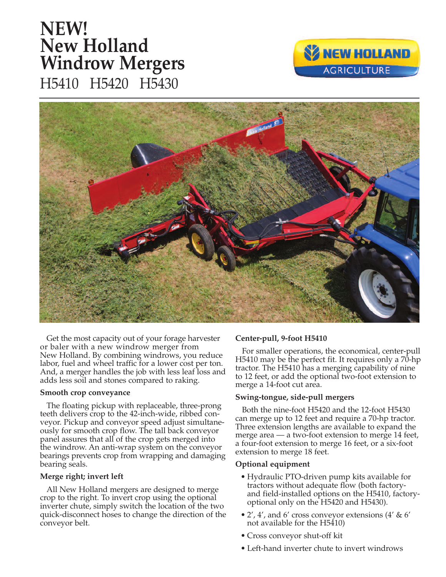# **New Holland Windrow Mergers** H5410 H5420 H5430 **NEW!**





Get the most capacity out of your forage harvester or baler with a new windrow merger from New Holland. By combining windrows, you reduce labor, fuel and wheel traffic for a lower cost per ton. And, a merger handles the job with less leaf loss and adds less soil and stones compared to raking.

# **Smooth crop conveyance**

The floating pickup with replaceable, three-prong teeth delivers crop to the 42-inch-wide, ribbed conveyor. Pickup and conveyor speed adjust simultaneously for smooth crop flow. The tall back conveyor panel assures that all of the crop gets merged into the windrow. An anti-wrap system on the conveyor bearings prevents crop from wrapping and damaging bearing seals.

# **Merge right; invert left**

All New Holland mergers are designed to merge crop to the right. To invert crop using the optional inverter chute, simply switch the location of the two quick-disconnect hoses to change the direction of the conveyor belt.

# **Center-pull, 9-foot H5410**

For smaller operations, the economical, center-pull H5410 may be the perfect fit. It requires only a 70-hp tractor. The H5410 has a merging capability of nine to 12 feet, or add the optional two-foot extension to merge a 14-foot cut area.

#### **Swing-tongue, side-pull mergers**

Both the nine-foot H5420 and the 12-foot H5430 can merge up to 12 feet and require a 70-hp tractor. Three extension lengths are available to expand the merge area — a two-foot extension to merge 14 feet, a four-foot extension to merge 16 feet, or a six-foot extension to merge 18 feet.

# **Optional equipment**

- Hydraulic PTO-driven pump kits available for tractors without adequate flow (both factoryand field-installed options on the H5410, factoryoptional only on the H5420 and H5430).
- 2', 4', and 6' cross conveyor extensions  $(4' \& 6')$ not available for the H5410)
- Cross conveyor shut-off kit
- Left-hand inverter chute to invert windrows